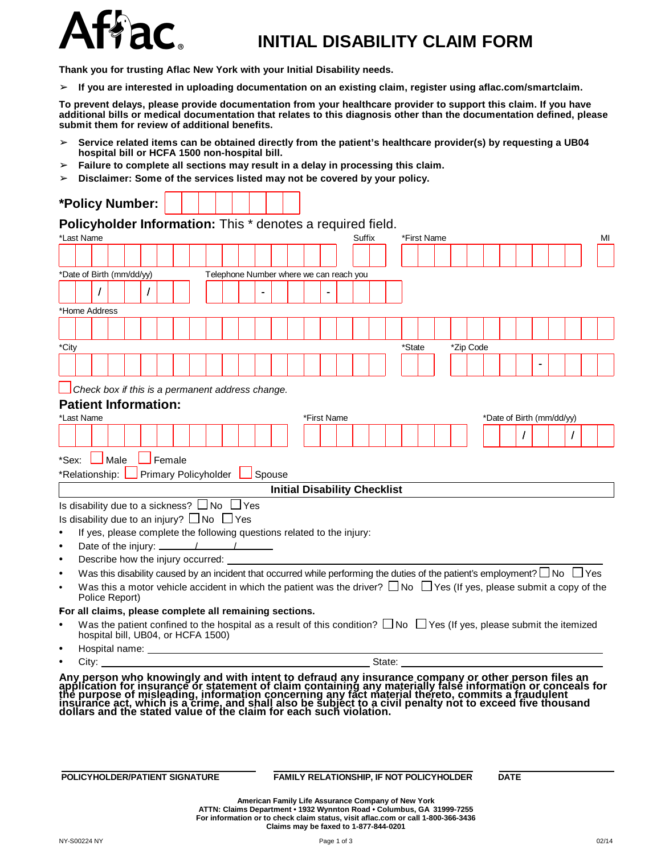

## **INITIAL DISABILITY CLAIM FORM**

**Thank you for trusting Aflac New York with your Initial Disability needs.**

➢ **If you are interested in uploading documentation on an existing claim, register using aflac.com/smartclaim.**

To prevent delays, please provide documentation from your healthcare provider to support this claim. If you have additional bills or medical documentation that relates to this diagnosis other than the documentation defined, please **submit them for review of additional benefits.**

- ➢ **Service related items can be obtained directly from the patient's healthcare provider(s) by requesting a UB04 hospital bill or HCFA 1500 non-hospital bill.**
- ➢ **Failure to complete all sections may result in a delay in processing this claim.**
- ➢ **Disclaimer: Some of the services listed may not be covered by your policy.**

|                                                                          | *Policy Number:                                                                                                                                                                                                                |                             |  |  |                                         |               |  |             |                                     |  |        |             |  |           |                           |  |  |  |    |
|--------------------------------------------------------------------------|--------------------------------------------------------------------------------------------------------------------------------------------------------------------------------------------------------------------------------|-----------------------------|--|--|-----------------------------------------|---------------|--|-------------|-------------------------------------|--|--------|-------------|--|-----------|---------------------------|--|--|--|----|
| Policyholder Information: This * denotes a required field.<br>*Last Name |                                                                                                                                                                                                                                |                             |  |  |                                         |               |  |             | Suffix                              |  |        | *First Name |  |           |                           |  |  |  | MI |
|                                                                          |                                                                                                                                                                                                                                |                             |  |  |                                         |               |  |             |                                     |  |        |             |  |           |                           |  |  |  |    |
|                                                                          |                                                                                                                                                                                                                                |                             |  |  |                                         |               |  |             |                                     |  |        |             |  |           |                           |  |  |  |    |
|                                                                          | *Date of Birth (mm/dd/yy)                                                                                                                                                                                                      |                             |  |  | Telephone Number where we can reach you |               |  |             |                                     |  |        |             |  |           |                           |  |  |  |    |
|                                                                          |                                                                                                                                                                                                                                |                             |  |  |                                         |               |  |             |                                     |  |        |             |  |           |                           |  |  |  |    |
| *Home Address                                                            |                                                                                                                                                                                                                                |                             |  |  |                                         |               |  |             |                                     |  |        |             |  |           |                           |  |  |  |    |
|                                                                          |                                                                                                                                                                                                                                |                             |  |  |                                         |               |  |             |                                     |  |        |             |  |           |                           |  |  |  |    |
|                                                                          |                                                                                                                                                                                                                                |                             |  |  |                                         |               |  |             |                                     |  |        |             |  |           |                           |  |  |  |    |
| *City                                                                    |                                                                                                                                                                                                                                |                             |  |  |                                         |               |  |             |                                     |  | *State |             |  | *Zip Code |                           |  |  |  |    |
|                                                                          |                                                                                                                                                                                                                                |                             |  |  |                                         |               |  |             |                                     |  |        |             |  |           |                           |  |  |  |    |
|                                                                          |                                                                                                                                                                                                                                |                             |  |  |                                         |               |  |             |                                     |  |        |             |  |           |                           |  |  |  |    |
|                                                                          | Check box if this is a permanent address change.                                                                                                                                                                               |                             |  |  |                                         |               |  |             |                                     |  |        |             |  |           |                           |  |  |  |    |
| *Last Name                                                               | <b>Patient Information:</b>                                                                                                                                                                                                    |                             |  |  |                                         |               |  |             |                                     |  |        |             |  |           |                           |  |  |  |    |
|                                                                          |                                                                                                                                                                                                                                |                             |  |  |                                         |               |  | *First Name |                                     |  |        |             |  |           | *Date of Birth (mm/dd/yy) |  |  |  |    |
|                                                                          |                                                                                                                                                                                                                                |                             |  |  |                                         |               |  |             |                                     |  |        |             |  |           |                           |  |  |  |    |
| *Sex:                                                                    | Male                                                                                                                                                                                                                           | Female                      |  |  |                                         |               |  |             |                                     |  |        |             |  |           |                           |  |  |  |    |
| *Relationship:                                                           |                                                                                                                                                                                                                                | <b>Primary Policyholder</b> |  |  |                                         | $\Box$ Spouse |  |             |                                     |  |        |             |  |           |                           |  |  |  |    |
|                                                                          |                                                                                                                                                                                                                                |                             |  |  |                                         |               |  |             | <b>Initial Disability Checklist</b> |  |        |             |  |           |                           |  |  |  |    |
| Is disability due to a sickness? $\Box$ No $\Box$ Yes                    |                                                                                                                                                                                                                                |                             |  |  |                                         |               |  |             |                                     |  |        |             |  |           |                           |  |  |  |    |
| Is disability due to an injury? $\square$ No $\square$ Yes               |                                                                                                                                                                                                                                |                             |  |  |                                         |               |  |             |                                     |  |        |             |  |           |                           |  |  |  |    |
|                                                                          | If yes, please complete the following questions related to the injury:                                                                                                                                                         |                             |  |  |                                         |               |  |             |                                     |  |        |             |  |           |                           |  |  |  |    |
|                                                                          | Date of the injury: $\frac{1}{\sqrt{1-\frac{1}{2}}}\left\vert \frac{1}{\sqrt{1-\frac{1}{2}}}\right\vert$                                                                                                                       |                             |  |  |                                         |               |  |             |                                     |  |        |             |  |           |                           |  |  |  |    |
|                                                                          | Describe how the injury occurred:                                                                                                                                                                                              |                             |  |  |                                         |               |  |             |                                     |  |        |             |  |           |                           |  |  |  |    |
|                                                                          | Was this disability caused by an incident that occurred while performing the duties of the patient's employment? $\Box$ No $\Box$ Yes                                                                                          |                             |  |  |                                         |               |  |             |                                     |  |        |             |  |           |                           |  |  |  |    |
|                                                                          | Was this a motor vehicle accident in which the patient was the driver? $\Box$ No $\Box$ Yes (If yes, please submit a copy of the<br>Police Report)                                                                             |                             |  |  |                                         |               |  |             |                                     |  |        |             |  |           |                           |  |  |  |    |
| For all claims, please complete all remaining sections.                  |                                                                                                                                                                                                                                |                             |  |  |                                         |               |  |             |                                     |  |        |             |  |           |                           |  |  |  |    |
|                                                                          | Was the patient confined to the hospital as a result of this condition? $\Box$ No $\Box$ Yes (If yes, please submit the itemized                                                                                               |                             |  |  |                                         |               |  |             |                                     |  |        |             |  |           |                           |  |  |  |    |
|                                                                          | hospital bill, UB04, or HCFA 1500)                                                                                                                                                                                             |                             |  |  |                                         |               |  |             |                                     |  |        |             |  |           |                           |  |  |  |    |
|                                                                          |                                                                                                                                                                                                                                |                             |  |  |                                         |               |  |             |                                     |  |        |             |  |           |                           |  |  |  |    |
| $\bullet$                                                                | City: the contract of the contract of the contract of the contract of the contract of the contract of the contract of the contract of the contract of the contract of the contract of the contract of the contract of the cont |                             |  |  |                                         |               |  |             |                                     |  |        |             |  |           |                           |  |  |  |    |

## **POLICYHOLDER/PATIENT SIGNATURE FAMILY RELATIONSHIP, IF NOT POLICYHOLDER DATE**

**American Family Life Assurance Company of New York ATTN: Claims Department • 1932 Wynnton Road • Columbus, GA 31999-7255 For information or to check claim status, visit aflac.com or call 1-800-366-3436 Claims may be faxed to 1-877-844-0201**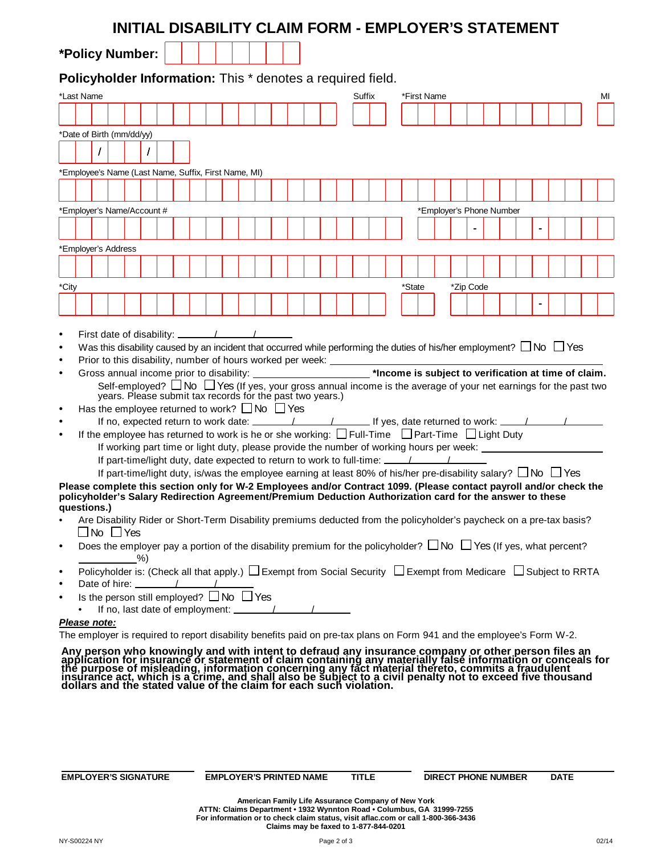|                                                                                                                        |  |                      |   |  |  | INITIAL DISABILITY CLAIM FORM - EMPLOYER'S STATEMENT                                                                                                                                                                                                                                                                                                                                                                                                                                                                                                                                                                                                                                                                                                                                                                                                                                                                                                                                                                                                                                                                                                                                                                                                                                                                                                                                                                                                                                                                                                                                                                          |  |  |  |        |  |             |  |  |                          |  |  |  |    |
|------------------------------------------------------------------------------------------------------------------------|--|----------------------|---|--|--|-------------------------------------------------------------------------------------------------------------------------------------------------------------------------------------------------------------------------------------------------------------------------------------------------------------------------------------------------------------------------------------------------------------------------------------------------------------------------------------------------------------------------------------------------------------------------------------------------------------------------------------------------------------------------------------------------------------------------------------------------------------------------------------------------------------------------------------------------------------------------------------------------------------------------------------------------------------------------------------------------------------------------------------------------------------------------------------------------------------------------------------------------------------------------------------------------------------------------------------------------------------------------------------------------------------------------------------------------------------------------------------------------------------------------------------------------------------------------------------------------------------------------------------------------------------------------------------------------------------------------------|--|--|--|--------|--|-------------|--|--|--------------------------|--|--|--|----|
| *Policy Number:                                                                                                        |  |                      |   |  |  |                                                                                                                                                                                                                                                                                                                                                                                                                                                                                                                                                                                                                                                                                                                                                                                                                                                                                                                                                                                                                                                                                                                                                                                                                                                                                                                                                                                                                                                                                                                                                                                                                               |  |  |  |        |  |             |  |  |                          |  |  |  |    |
|                                                                                                                        |  |                      |   |  |  | Policyholder Information: This * denotes a required field.                                                                                                                                                                                                                                                                                                                                                                                                                                                                                                                                                                                                                                                                                                                                                                                                                                                                                                                                                                                                                                                                                                                                                                                                                                                                                                                                                                                                                                                                                                                                                                    |  |  |  |        |  |             |  |  |                          |  |  |  |    |
| *Last Name                                                                                                             |  |                      |   |  |  |                                                                                                                                                                                                                                                                                                                                                                                                                                                                                                                                                                                                                                                                                                                                                                                                                                                                                                                                                                                                                                                                                                                                                                                                                                                                                                                                                                                                                                                                                                                                                                                                                               |  |  |  | Suffix |  | *First Name |  |  |                          |  |  |  | MI |
|                                                                                                                        |  |                      |   |  |  |                                                                                                                                                                                                                                                                                                                                                                                                                                                                                                                                                                                                                                                                                                                                                                                                                                                                                                                                                                                                                                                                                                                                                                                                                                                                                                                                                                                                                                                                                                                                                                                                                               |  |  |  |        |  |             |  |  |                          |  |  |  |    |
| *Date of Birth (mm/dd/yy)                                                                                              |  |                      |   |  |  |                                                                                                                                                                                                                                                                                                                                                                                                                                                                                                                                                                                                                                                                                                                                                                                                                                                                                                                                                                                                                                                                                                                                                                                                                                                                                                                                                                                                                                                                                                                                                                                                                               |  |  |  |        |  |             |  |  |                          |  |  |  |    |
|                                                                                                                        |  |                      |   |  |  |                                                                                                                                                                                                                                                                                                                                                                                                                                                                                                                                                                                                                                                                                                                                                                                                                                                                                                                                                                                                                                                                                                                                                                                                                                                                                                                                                                                                                                                                                                                                                                                                                               |  |  |  |        |  |             |  |  |                          |  |  |  |    |
|                                                                                                                        |  |                      |   |  |  | *Employee's Name (Last Name, Suffix, First Name, MI)                                                                                                                                                                                                                                                                                                                                                                                                                                                                                                                                                                                                                                                                                                                                                                                                                                                                                                                                                                                                                                                                                                                                                                                                                                                                                                                                                                                                                                                                                                                                                                          |  |  |  |        |  |             |  |  |                          |  |  |  |    |
|                                                                                                                        |  |                      |   |  |  |                                                                                                                                                                                                                                                                                                                                                                                                                                                                                                                                                                                                                                                                                                                                                                                                                                                                                                                                                                                                                                                                                                                                                                                                                                                                                                                                                                                                                                                                                                                                                                                                                               |  |  |  |        |  |             |  |  |                          |  |  |  |    |
| *Employer's Name/Account #                                                                                             |  |                      |   |  |  |                                                                                                                                                                                                                                                                                                                                                                                                                                                                                                                                                                                                                                                                                                                                                                                                                                                                                                                                                                                                                                                                                                                                                                                                                                                                                                                                                                                                                                                                                                                                                                                                                               |  |  |  |        |  |             |  |  | *Employer's Phone Number |  |  |  |    |
|                                                                                                                        |  |                      |   |  |  |                                                                                                                                                                                                                                                                                                                                                                                                                                                                                                                                                                                                                                                                                                                                                                                                                                                                                                                                                                                                                                                                                                                                                                                                                                                                                                                                                                                                                                                                                                                                                                                                                               |  |  |  |        |  |             |  |  |                          |  |  |  |    |
|                                                                                                                        |  |                      |   |  |  |                                                                                                                                                                                                                                                                                                                                                                                                                                                                                                                                                                                                                                                                                                                                                                                                                                                                                                                                                                                                                                                                                                                                                                                                                                                                                                                                                                                                                                                                                                                                                                                                                               |  |  |  |        |  |             |  |  |                          |  |  |  |    |
| *Employer's Address                                                                                                    |  |                      |   |  |  |                                                                                                                                                                                                                                                                                                                                                                                                                                                                                                                                                                                                                                                                                                                                                                                                                                                                                                                                                                                                                                                                                                                                                                                                                                                                                                                                                                                                                                                                                                                                                                                                                               |  |  |  |        |  |             |  |  |                          |  |  |  |    |
|                                                                                                                        |  |                      |   |  |  |                                                                                                                                                                                                                                                                                                                                                                                                                                                                                                                                                                                                                                                                                                                                                                                                                                                                                                                                                                                                                                                                                                                                                                                                                                                                                                                                                                                                                                                                                                                                                                                                                               |  |  |  |        |  |             |  |  |                          |  |  |  |    |
| *City                                                                                                                  |  |                      |   |  |  |                                                                                                                                                                                                                                                                                                                                                                                                                                                                                                                                                                                                                                                                                                                                                                                                                                                                                                                                                                                                                                                                                                                                                                                                                                                                                                                                                                                                                                                                                                                                                                                                                               |  |  |  |        |  | *State      |  |  | *Zip Code                |  |  |  |    |
|                                                                                                                        |  |                      |   |  |  |                                                                                                                                                                                                                                                                                                                                                                                                                                                                                                                                                                                                                                                                                                                                                                                                                                                                                                                                                                                                                                                                                                                                                                                                                                                                                                                                                                                                                                                                                                                                                                                                                               |  |  |  |        |  |             |  |  |                          |  |  |  |    |
| $\bullet$<br>$\bullet$<br>questions.)<br>$\bullet$<br>$\bullet$<br>$\bullet$<br>$\bullet$<br>$\bullet$<br>Please note: |  | $\Box$ No $\Box$ Yes | % |  |  | Self-employed? $\Box$ No $\Box$ Yes (If yes, your gross annual income is the average of your net earnings for the past two<br>years. Please submit tax records for the past two years.)<br>Has the employee returned to work? $\Box$ No $\Box$ Yes<br>If the employee has returned to work is he or she working: $\Box$ Full-Time $\Box$ Part-Time $\Box$ Light Duty<br>If working part time or light duty, please provide the number of working hours per week:<br>If part-time/light duty, is/was the employee earning at least 80% of his/her pre-disability salary? $\Box$ No $\Box$ Yes<br>Please complete this section only for W-2 Employees and/or Contract 1099. (Please contact payroll and/or check the<br>policyholder's Salary Redirection Agreement/Premium Deduction Authorization card for the answer to these<br>Are Disability Rider or Short-Term Disability premiums deducted from the policyholder's paycheck on a pre-tax basis?<br>Does the employer pay a portion of the disability premium for the policyholder? $\Box$ No $\Box$ Yes (If yes, what percent?<br>Policyholder is: (Check all that apply.) $\Box$ Exempt from Social Security $\Box$ Exempt from Medicare $\Box$ Subject to RRTA<br>Is the person still employed? □ No □ Yes<br>The employer is required to report disability benefits paid on pre-tax plans on Form 941 and the employee's Form W-2.<br>Any person who knowingly and with intent to defraud any insurance company or other person files an application for insurance or statement of claim containing any materially false information or conceals for the purpose of |  |  |  |        |  |             |  |  |                          |  |  |  |    |
|                                                                                                                        |  |                      |   |  |  |                                                                                                                                                                                                                                                                                                                                                                                                                                                                                                                                                                                                                                                                                                                                                                                                                                                                                                                                                                                                                                                                                                                                                                                                                                                                                                                                                                                                                                                                                                                                                                                                                               |  |  |  |        |  |             |  |  |                          |  |  |  |    |

**EMPLOYER'S SIGNATURE EMPLOYER'S PRINTED NAME TITLE DIRECT PHONE NUMBER DATE**

American Family Life Assurance Company of New York<br>ATTN: Claims Department • 1932 Wynnton Road • Columbus, GA 31999-7255<br>For information or to check claim status, visit aflac.com or call 1-800-366-3436<br>Claims may be faxed